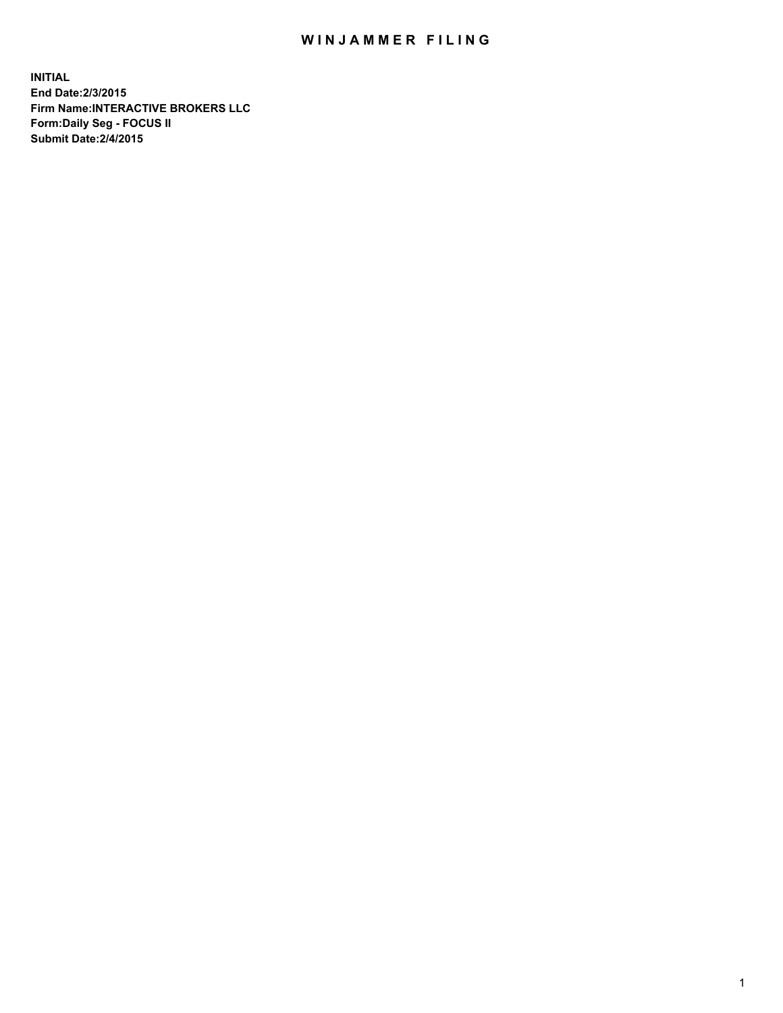## WIN JAMMER FILING

**INITIAL End Date:2/3/2015 Firm Name:INTERACTIVE BROKERS LLC Form:Daily Seg - FOCUS II Submit Date:2/4/2015**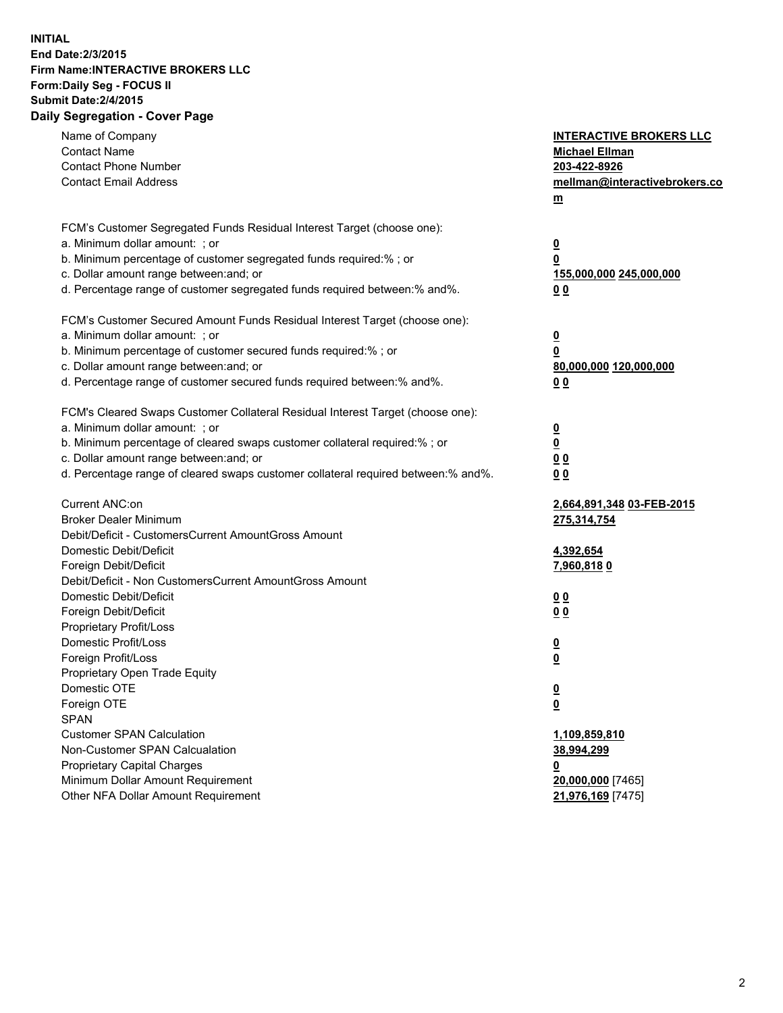## **INITIAL End Date:2/3/2015 Firm Name:INTERACTIVE BROKERS LLC Form:Daily Seg - FOCUS II Submit Date:2/4/2015 Daily Segregation - Cover Page**

| Name of Company<br><b>Contact Name</b><br><b>Contact Phone Number</b><br><b>Contact Email Address</b>    | <b>INTERACTIVE BROKERS LLC</b><br><b>Michael Ellman</b><br>203-422-8926<br>mellman@interactivebrokers.co<br>$\underline{\mathbf{m}}$ |
|----------------------------------------------------------------------------------------------------------|--------------------------------------------------------------------------------------------------------------------------------------|
| FCM's Customer Segregated Funds Residual Interest Target (choose one):<br>a. Minimum dollar amount: ; or |                                                                                                                                      |
| b. Minimum percentage of customer segregated funds required:% ; or                                       | $\overline{\mathbf{0}}$<br>0                                                                                                         |
| c. Dollar amount range between: and; or                                                                  | 155,000,000 245,000,000                                                                                                              |
| d. Percentage range of customer segregated funds required between:% and%.                                | 00                                                                                                                                   |
| FCM's Customer Secured Amount Funds Residual Interest Target (choose one):                               |                                                                                                                                      |
| a. Minimum dollar amount: ; or                                                                           | $\overline{\mathbf{0}}$                                                                                                              |
| b. Minimum percentage of customer secured funds required:% ; or                                          | 0                                                                                                                                    |
| c. Dollar amount range between: and; or                                                                  | 80,000,000 120,000,000                                                                                                               |
| d. Percentage range of customer secured funds required between:% and%.                                   | 00                                                                                                                                   |
| FCM's Cleared Swaps Customer Collateral Residual Interest Target (choose one):                           |                                                                                                                                      |
| a. Minimum dollar amount: ; or                                                                           | $\overline{\mathbf{0}}$                                                                                                              |
| b. Minimum percentage of cleared swaps customer collateral required:% ; or                               | $\overline{\mathbf{0}}$                                                                                                              |
| c. Dollar amount range between: and; or                                                                  | 0 <sub>0</sub>                                                                                                                       |
| d. Percentage range of cleared swaps customer collateral required between:% and%.                        | 0 <sub>0</sub>                                                                                                                       |
| Current ANC:on                                                                                           | 2,664,891,348 03-FEB-2015                                                                                                            |
| <b>Broker Dealer Minimum</b>                                                                             | 275,314,754                                                                                                                          |
| Debit/Deficit - CustomersCurrent AmountGross Amount                                                      |                                                                                                                                      |
| Domestic Debit/Deficit                                                                                   | 4,392,654                                                                                                                            |
| Foreign Debit/Deficit<br>Debit/Deficit - Non CustomersCurrent AmountGross Amount                         | <u>7,960,8180</u>                                                                                                                    |
| Domestic Debit/Deficit                                                                                   | 0 <sub>0</sub>                                                                                                                       |
| Foreign Debit/Deficit                                                                                    | 0 <sub>0</sub>                                                                                                                       |
| Proprietary Profit/Loss                                                                                  |                                                                                                                                      |
| Domestic Profit/Loss                                                                                     | $\overline{\mathbf{0}}$                                                                                                              |
| Foreign Profit/Loss                                                                                      | $\underline{\mathbf{0}}$                                                                                                             |
| Proprietary Open Trade Equity                                                                            |                                                                                                                                      |
| Domestic OTE                                                                                             | <u>0</u>                                                                                                                             |
| Foreign OTE                                                                                              | <u>0</u>                                                                                                                             |
| <b>SPAN</b>                                                                                              |                                                                                                                                      |
| <b>Customer SPAN Calculation</b>                                                                         | 1,109,859,810                                                                                                                        |
| Non-Customer SPAN Calcualation                                                                           | 38,994,299                                                                                                                           |
| Proprietary Capital Charges<br>Minimum Dollar Amount Requirement                                         | <u>0</u>                                                                                                                             |
| Other NFA Dollar Amount Requirement                                                                      | 20,000,000 [7465]<br>21,976,169 [7475]                                                                                               |
|                                                                                                          |                                                                                                                                      |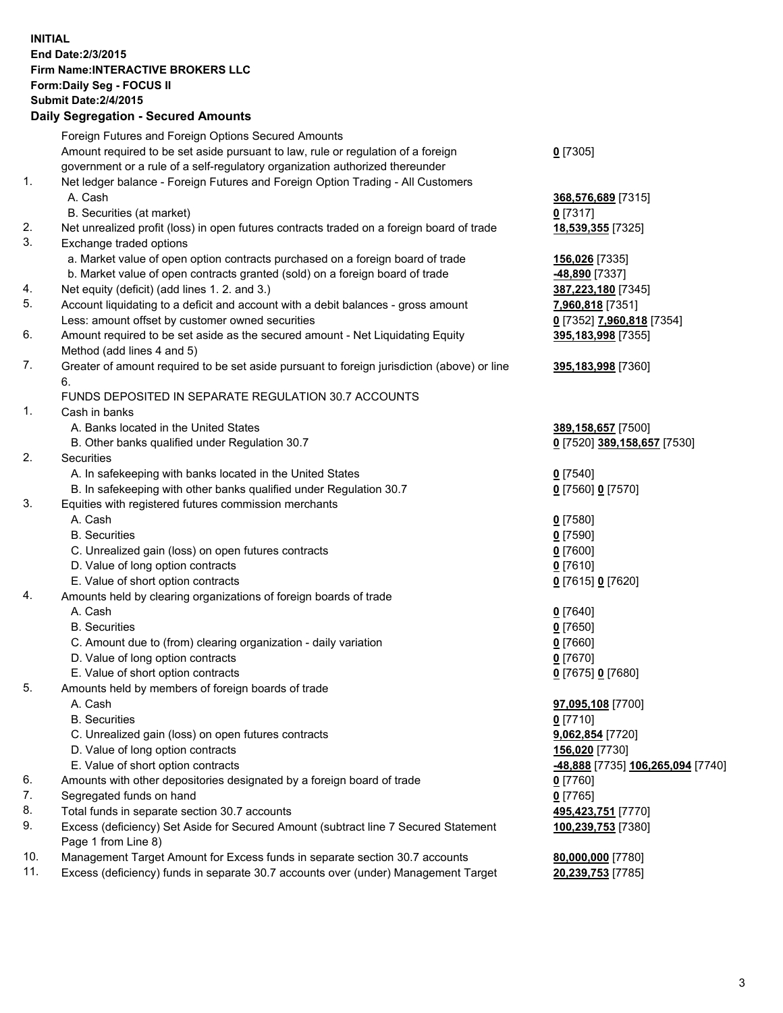## **INITIAL End Date:2/3/2015 Firm Name:INTERACTIVE BROKERS LLC Form:Daily Seg - FOCUS II Submit Date:2/4/2015 Daily Segregation - Secured Amounts**

|     | Foreign Futures and Foreign Options Secured Amounts                                         |                                  |
|-----|---------------------------------------------------------------------------------------------|----------------------------------|
|     | Amount required to be set aside pursuant to law, rule or regulation of a foreign            | $0$ [7305]                       |
|     | government or a rule of a self-regulatory organization authorized thereunder                |                                  |
| 1.  | Net ledger balance - Foreign Futures and Foreign Option Trading - All Customers             |                                  |
|     | A. Cash                                                                                     | 368,576,689 [7315]               |
|     | B. Securities (at market)                                                                   | $0$ [7317]                       |
| 2.  | Net unrealized profit (loss) in open futures contracts traded on a foreign board of trade   | 18,539,355 [7325]                |
| 3.  | Exchange traded options                                                                     |                                  |
|     | a. Market value of open option contracts purchased on a foreign board of trade              | 156,026 [7335]                   |
|     | b. Market value of open contracts granted (sold) on a foreign board of trade                | <u>-48,890</u> [7337]            |
| 4.  | Net equity (deficit) (add lines 1. 2. and 3.)                                               | 387,223,180 [7345]               |
| 5.  | Account liquidating to a deficit and account with a debit balances - gross amount           | 7,960,818 [7351]                 |
|     | Less: amount offset by customer owned securities                                            | 0 [7352] 7,960,818 [7354]        |
| 6.  | Amount required to be set aside as the secured amount - Net Liquidating Equity              | 395,183,998 [7355]               |
|     | Method (add lines 4 and 5)                                                                  |                                  |
| 7.  | Greater of amount required to be set aside pursuant to foreign jurisdiction (above) or line | 395,183,998 [7360]               |
|     | 6.                                                                                          |                                  |
|     | FUNDS DEPOSITED IN SEPARATE REGULATION 30.7 ACCOUNTS                                        |                                  |
| 1.  | Cash in banks                                                                               |                                  |
|     | A. Banks located in the United States                                                       | 389,158,657 [7500]               |
|     | B. Other banks qualified under Regulation 30.7                                              | 0 [7520] 389,158,657 [7530]      |
| 2.  | Securities                                                                                  |                                  |
|     | A. In safekeeping with banks located in the United States                                   | $Q$ [7540]                       |
|     | B. In safekeeping with other banks qualified under Regulation 30.7                          | 0 [7560] 0 [7570]                |
| 3.  | Equities with registered futures commission merchants                                       |                                  |
|     | A. Cash                                                                                     | $0$ [7580]                       |
|     | <b>B.</b> Securities                                                                        | $0$ [7590]                       |
|     | C. Unrealized gain (loss) on open futures contracts                                         | $0$ [7600]                       |
|     | D. Value of long option contracts                                                           | $0$ [7610]                       |
|     | E. Value of short option contracts                                                          | 0 [7615] 0 [7620]                |
| 4.  | Amounts held by clearing organizations of foreign boards of trade                           |                                  |
|     | A. Cash                                                                                     | $Q$ [7640]                       |
|     | <b>B.</b> Securities                                                                        | $0$ [7650]                       |
|     | C. Amount due to (from) clearing organization - daily variation                             | $0$ [7660]                       |
|     | D. Value of long option contracts                                                           | $0$ [7670]                       |
|     | E. Value of short option contracts                                                          | 0 [7675] 0 [7680]                |
| 5.  | Amounts held by members of foreign boards of trade                                          |                                  |
|     | A. Cash                                                                                     | 97,095,108 [7700]                |
|     | <b>B.</b> Securities                                                                        | $0$ [7710]                       |
|     | C. Unrealized gain (loss) on open futures contracts                                         | 9,062,854 [7720]                 |
|     | D. Value of long option contracts                                                           | 156,020 [7730]                   |
|     | E. Value of short option contracts                                                          | 48,888 [7735] 106,265,094 [7740] |
| 6.  | Amounts with other depositories designated by a foreign board of trade                      | $0$ [7760]                       |
| 7.  | Segregated funds on hand                                                                    | $0$ [7765]                       |
| 8.  | Total funds in separate section 30.7 accounts                                               | 495,423,751 [7770]               |
| 9.  | Excess (deficiency) Set Aside for Secured Amount (subtract line 7 Secured Statement         | 100,239,753 [7380]               |
|     | Page 1 from Line 8)                                                                         |                                  |
| 10. | Management Target Amount for Excess funds in separate section 30.7 accounts                 | 80,000,000 [7780]                |
| 11. | Excess (deficiency) funds in separate 30.7 accounts over (under) Management Target          | 20,239,753 [7785]                |
|     |                                                                                             |                                  |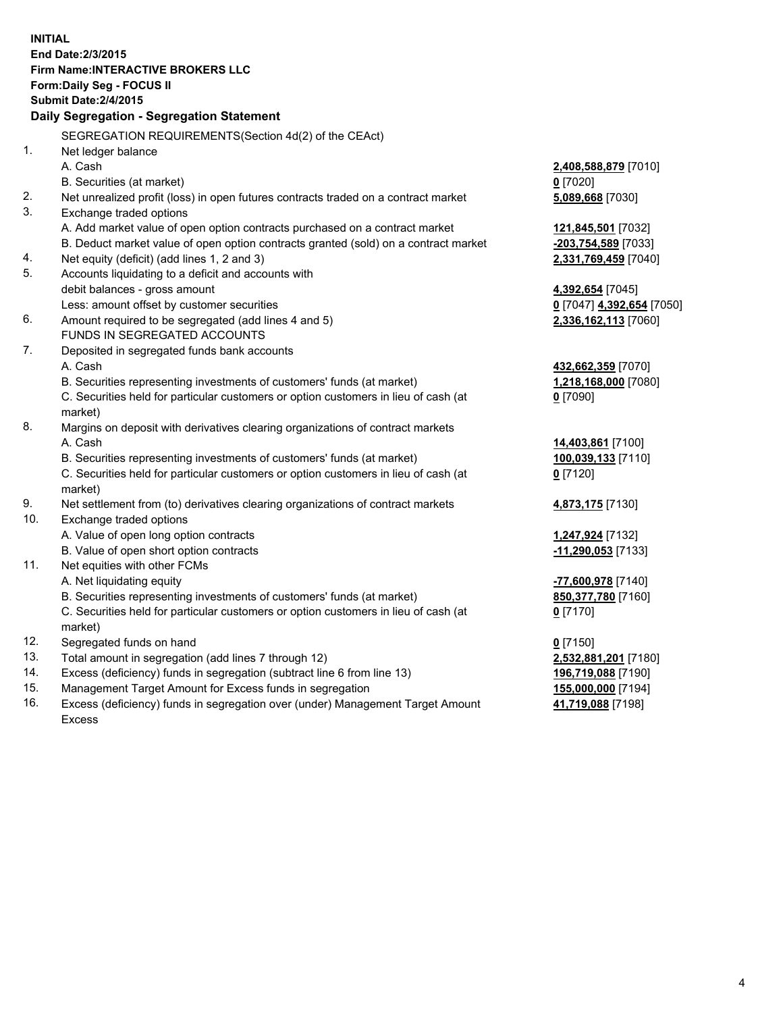**INITIAL End Date:2/3/2015 Firm Name:INTERACTIVE BROKERS LLC Form:Daily Seg - FOCUS II Submit Date:2/4/2015 Daily Segregation - Segregation Statement** SEGREGATION REQUIREMENTS(Section 4d(2) of the CEAct) 1. Net ledger balance A. Cash **2,408,588,879** [7010] B. Securities (at market) **0** [7020] 2. Net unrealized profit (loss) in open futures contracts traded on a contract market **5,089,668** [7030] 3. Exchange traded options A. Add market value of open option contracts purchased on a contract market **121,845,501** [7032] B. Deduct market value of open option contracts granted (sold) on a contract market **-203,754,589** [7033] 4. Net equity (deficit) (add lines 1, 2 and 3) **2,331,769,459** [7040] 5. Accounts liquidating to a deficit and accounts with debit balances - gross amount **4,392,654** [7045] Less: amount offset by customer securities **0** [7047] **4,392,654** [7050] 6. Amount required to be segregated (add lines 4 and 5) **2,336,162,113** [7060] FUNDS IN SEGREGATED ACCOUNTS 7. Deposited in segregated funds bank accounts A. Cash **432,662,359** [7070] B. Securities representing investments of customers' funds (at market) **1,218,168,000** [7080] C. Securities held for particular customers or option customers in lieu of cash (at market) **0** [7090] 8. Margins on deposit with derivatives clearing organizations of contract markets A. Cash **14,403,861** [7100] B. Securities representing investments of customers' funds (at market) **100,039,133** [7110] C. Securities held for particular customers or option customers in lieu of cash (at market) **0** [7120] 9. Net settlement from (to) derivatives clearing organizations of contract markets **4,873,175** [7130] 10. Exchange traded options A. Value of open long option contracts **1,247,924** [7132] B. Value of open short option contracts **-11,290,053** [7133] 11. Net equities with other FCMs A. Net liquidating equity **-77,600,978** [7140] B. Securities representing investments of customers' funds (at market) **850,377,780** [7160] C. Securities held for particular customers or option customers in lieu of cash (at market) **0** [7170] 12. Segregated funds on hand **0** [7150] 13. Total amount in segregation (add lines 7 through 12) **2,532,881,201** [7180] 14. Excess (deficiency) funds in segregation (subtract line 6 from line 13) **196,719,088** [7190] 15. Management Target Amount for Excess funds in segregation **155,000,000** [7194]

16. Excess (deficiency) funds in segregation over (under) Management Target Amount Excess

**41,719,088** [7198]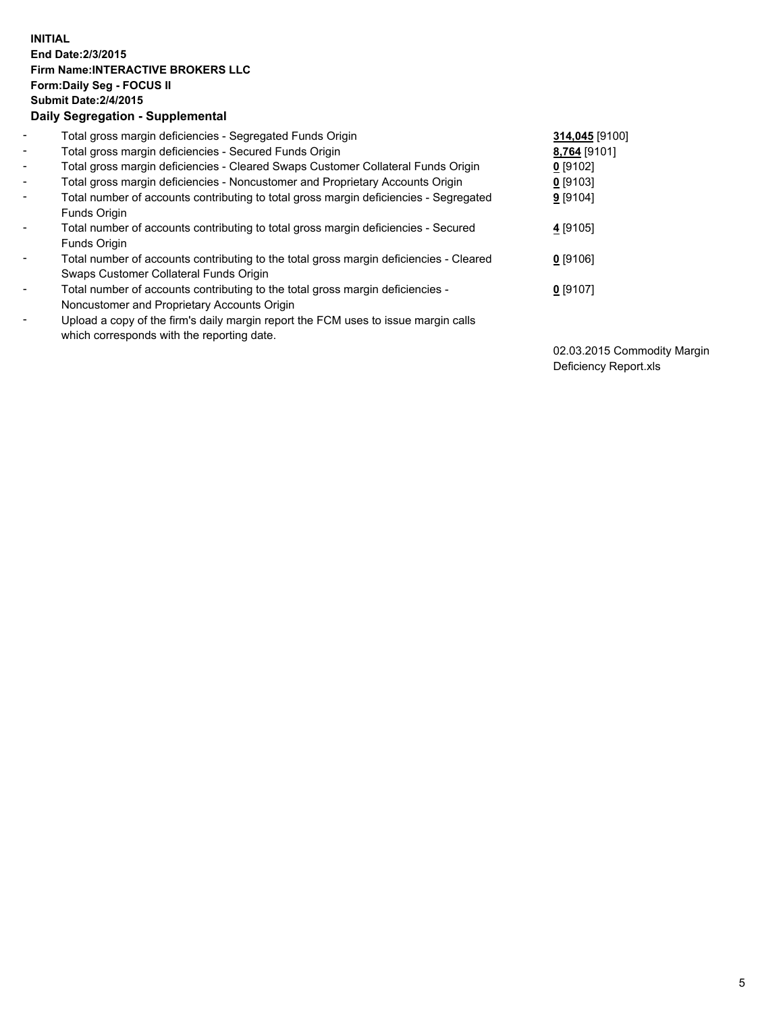## **INITIAL End Date:2/3/2015 Firm Name:INTERACTIVE BROKERS LLC Form:Daily Seg - FOCUS II Submit Date:2/4/2015 Daily Segregation - Supplemental**

| $\blacksquare$ | Total gross margin deficiencies - Segregated Funds Origin                              | 314,045 [9100] |
|----------------|----------------------------------------------------------------------------------------|----------------|
| $\sim$         | Total gross margin deficiencies - Secured Funds Origin                                 | 8,764 [9101]   |
| $\blacksquare$ | Total gross margin deficiencies - Cleared Swaps Customer Collateral Funds Origin       | $0$ [9102]     |
| $\blacksquare$ | Total gross margin deficiencies - Noncustomer and Proprietary Accounts Origin          | $0$ [9103]     |
| $\blacksquare$ | Total number of accounts contributing to total gross margin deficiencies - Segregated  | 9 [9104]       |
|                | Funds Origin                                                                           |                |
| $\blacksquare$ | Total number of accounts contributing to total gross margin deficiencies - Secured     | $4$ [9105]     |
|                | Funds Origin                                                                           |                |
| Ξ.             | Total number of accounts contributing to the total gross margin deficiencies - Cleared | $0$ [9106]     |
|                | Swaps Customer Collateral Funds Origin                                                 |                |
| ۰              | Total number of accounts contributing to the total gross margin deficiencies -         | $0$ [9107]     |
|                | Noncustomer and Proprietary Accounts Origin                                            |                |
| $\blacksquare$ | Upload a copy of the firm's daily margin report the FCM uses to issue margin calls     |                |
|                | which corresponds with the reporting date.                                             |                |

02.03.2015 Commodity Margin Deficiency Report.xls